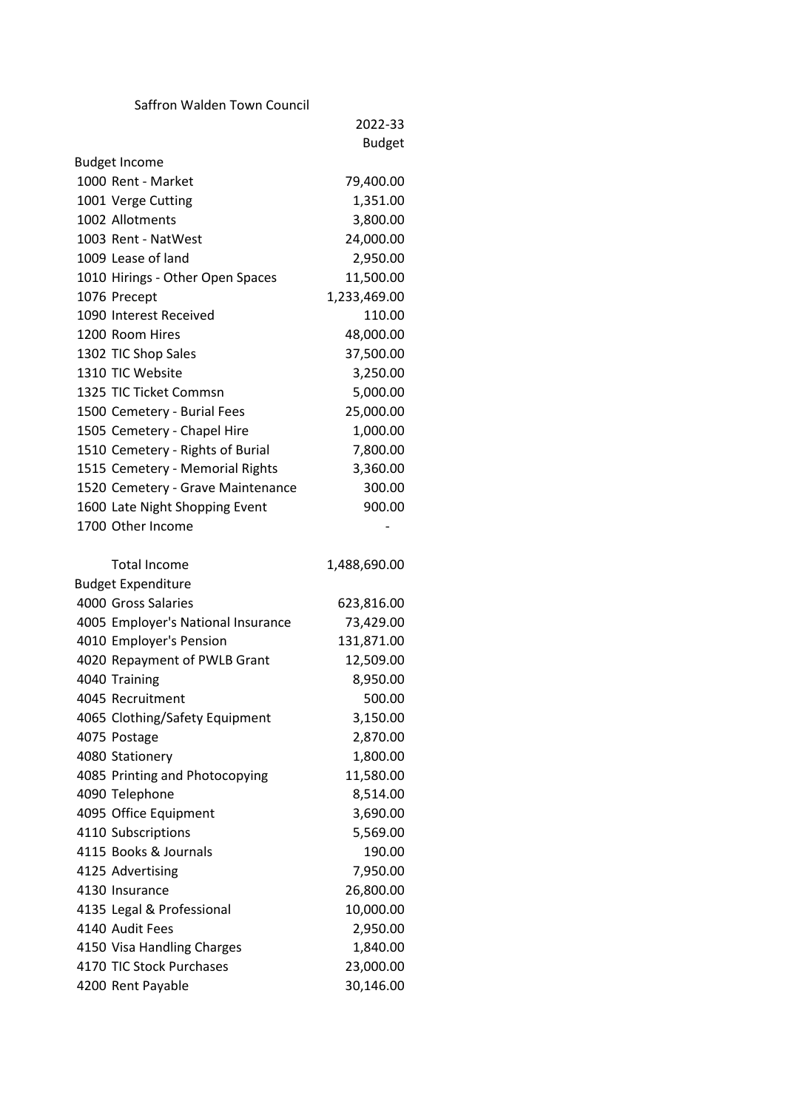|  | Saffron Walden Town Council |  |
|--|-----------------------------|--|
|  |                             |  |

|                                    | 2022-33       |
|------------------------------------|---------------|
|                                    | <b>Budget</b> |
| <b>Budget Income</b>               |               |
| 1000 Rent - Market                 | 79,400.00     |
| 1001 Verge Cutting                 | 1,351.00      |
| 1002 Allotments                    | 3,800.00      |
| 1003 Rent - NatWest                | 24,000.00     |
| 1009 Lease of land                 | 2,950.00      |
| 1010 Hirings - Other Open Spaces   | 11,500.00     |
| 1076 Precept                       | 1,233,469.00  |
| 1090 Interest Received             | 110.00        |
| 1200 Room Hires                    | 48,000.00     |
| 1302 TIC Shop Sales                | 37,500.00     |
| 1310 TIC Website                   | 3,250.00      |
| 1325 TIC Ticket Commsn             | 5,000.00      |
| 1500 Cemetery - Burial Fees        | 25,000.00     |
| 1505 Cemetery - Chapel Hire        | 1,000.00      |
| 1510 Cemetery - Rights of Burial   | 7,800.00      |
| 1515 Cemetery - Memorial Rights    | 3,360.00      |
| 1520 Cemetery - Grave Maintenance  | 300.00        |
| 1600 Late Night Shopping Event     | 900.00        |
| 1700 Other Income                  |               |
|                                    |               |
| <b>Total Income</b>                | 1,488,690.00  |
| <b>Budget Expenditure</b>          |               |
| 4000 Gross Salaries                | 623,816.00    |
| 4005 Employer's National Insurance | 73,429.00     |
| 4010 Employer's Pension            | 131,871.00    |
| 4020 Repayment of PWLB Grant       | 12,509.00     |
| 4040 Training                      | 8,950.00      |
| 4045 Recruitment                   | 500.00        |
| 4065 Clothing/Safety Equipment     | 3,150.00      |
| 4075 Postage                       | 2,870.00      |
| 4080 Stationery                    | 1,800.00      |
| 4085 Printing and Photocopying     | 11,580.00     |
| 4090 Telephone                     | 8,514.00      |
| 4095 Office Equipment              | 3,690.00      |
| 4110 Subscriptions                 | 5,569.00      |
| 4115 Books & Journals              | 190.00        |
| 4125 Advertising                   | 7,950.00      |
| 4130 Insurance                     | 26,800.00     |
| 4135 Legal & Professional          | 10,000.00     |
| 4140 Audit Fees                    | 2,950.00      |
| 4150 Visa Handling Charges         | 1,840.00      |
| 4170 TIC Stock Purchases           | 23,000.00     |
| 4200 Rent Payable                  | 30,146.00     |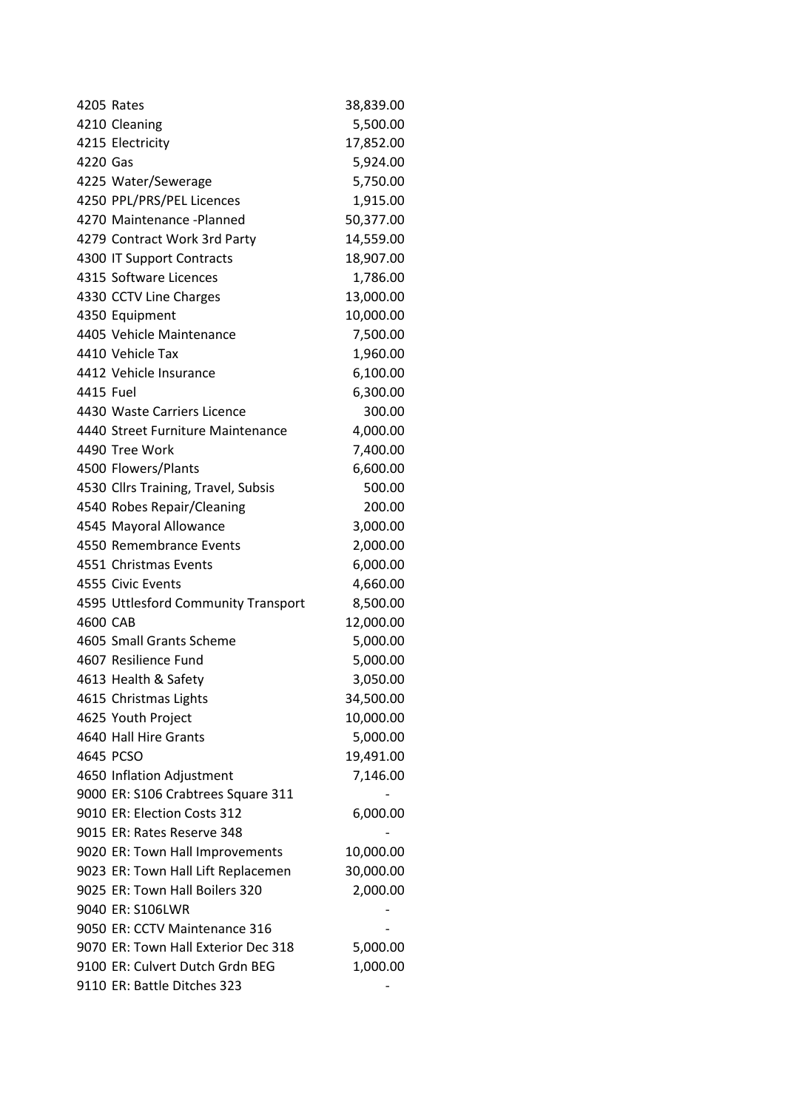|           | 4205 Rates                          | 38,839.00 |
|-----------|-------------------------------------|-----------|
|           | 4210 Cleaning                       | 5,500.00  |
|           | 4215 Electricity                    | 17,852.00 |
| 4220 Gas  |                                     | 5,924.00  |
|           | 4225 Water/Sewerage                 | 5,750.00  |
|           | 4250 PPL/PRS/PEL Licences           | 1,915.00  |
|           | 4270 Maintenance -Planned           | 50,377.00 |
|           | 4279 Contract Work 3rd Party        | 14,559.00 |
|           | 4300 IT Support Contracts           | 18,907.00 |
|           | 4315 Software Licences              | 1,786.00  |
|           | 4330 CCTV Line Charges              | 13,000.00 |
|           | 4350 Equipment                      | 10,000.00 |
|           | 4405 Vehicle Maintenance            | 7,500.00  |
|           | 4410 Vehicle Tax                    | 1,960.00  |
|           | 4412 Vehicle Insurance              | 6,100.00  |
| 4415 Fuel |                                     | 6,300.00  |
|           | 4430 Waste Carriers Licence         | 300.00    |
|           | 4440 Street Furniture Maintenance   | 4,000.00  |
|           | 4490 Tree Work                      | 7,400.00  |
|           | 4500 Flowers/Plants                 | 6,600.00  |
|           | 4530 Cllrs Training, Travel, Subsis | 500.00    |
|           | 4540 Robes Repair/Cleaning          | 200.00    |
|           | 4545 Mayoral Allowance              | 3,000.00  |
|           | 4550 Remembrance Events             | 2,000.00  |
|           | 4551 Christmas Events               | 6,000.00  |
|           | 4555 Civic Events                   | 4,660.00  |
|           | 4595 Uttlesford Community Transport | 8,500.00  |
| 4600 CAB  |                                     | 12,000.00 |
|           | 4605 Small Grants Scheme            | 5,000.00  |
|           | 4607 Resilience Fund                | 5,000.00  |
|           | 4613 Health & Safety                | 3,050.00  |
|           | 4615 Christmas Lights               | 34,500.00 |
|           | 4625 Youth Project                  | 10,000.00 |
|           | 4640 Hall Hire Grants               | 5,000.00  |
|           | 4645 PCSO                           | 19,491.00 |
|           | 4650 Inflation Adjustment           | 7,146.00  |
|           | 9000 ER: S106 Crabtrees Square 311  |           |
|           | 9010 ER: Election Costs 312         | 6,000.00  |
|           | 9015 ER: Rates Reserve 348          |           |
|           | 9020 ER: Town Hall Improvements     | 10,000.00 |
|           | 9023 ER: Town Hall Lift Replacemen  | 30,000.00 |
|           | 9025 ER: Town Hall Boilers 320      | 2,000.00  |
|           | 9040 ER: S106LWR                    |           |
|           | 9050 ER: CCTV Maintenance 316       |           |
|           | 9070 ER: Town Hall Exterior Dec 318 | 5,000.00  |
|           | 9100 ER: Culvert Dutch Grdn BEG     | 1,000.00  |
|           | 9110 ER: Battle Ditches 323         |           |